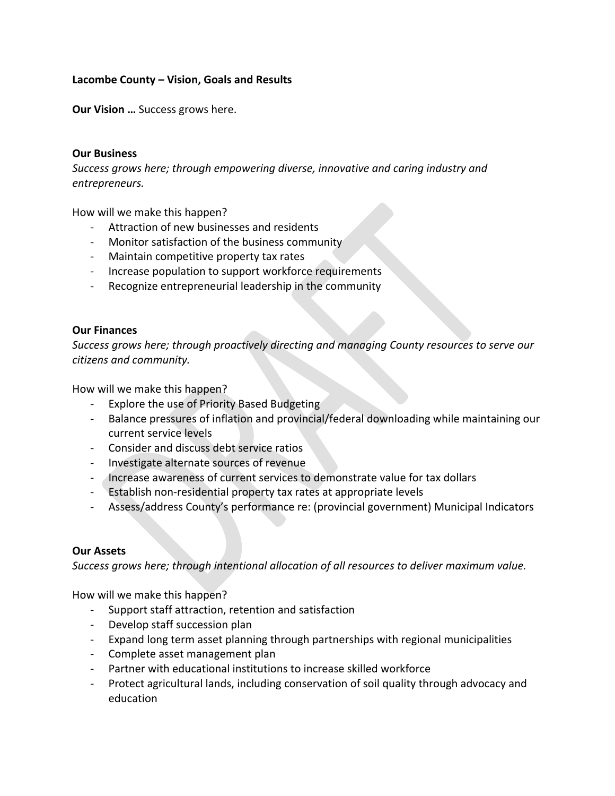# **Lacombe County – Vision, Goals and Results**

**Our Vision …** Success grows here.

### **Our Business**

*Success grows here; through empowering diverse, innovative and caring industry and entrepreneurs.* 

How will we make this happen?

- ‐ Attraction of new businesses and residents
- Monitor satisfaction of the business community
- ‐ Maintain competitive property tax rates
- ‐ Increase population to support workforce requirements
- ‐ Recognize entrepreneurial leadership in the community

## **Our Finances**

*Success grows here; through proactively directing and managing County resources to serve our citizens and community.* 

How will we make this happen?

- ‐ Explore the use of Priority Based Budgeting
- ‐ Balance pressures of inflation and provincial/federal downloading while maintaining our current service levels
- ‐ Consider and discuss debt service ratios
- ‐ Investigate alternate sources of revenue
- ‐ Increase awareness of current services to demonstrate value for tax dollars
- ‐ Establish non‐residential property tax rates at appropriate levels
- ‐ Assess/address County's performance re: (provincial government) Municipal Indicators

#### **Our Assets**

*Success grows here; through intentional allocation of all resources to deliver maximum value.* 

How will we make this happen?

- ‐ Support staff attraction, retention and satisfaction
- ‐ Develop staff succession plan
- ‐ Expand long term asset planning through partnerships with regional municipalities
- ‐ Complete asset management plan
- Partner with educational institutions to increase skilled workforce
- ‐ Protect agricultural lands, including conservation of soil quality through advocacy and education